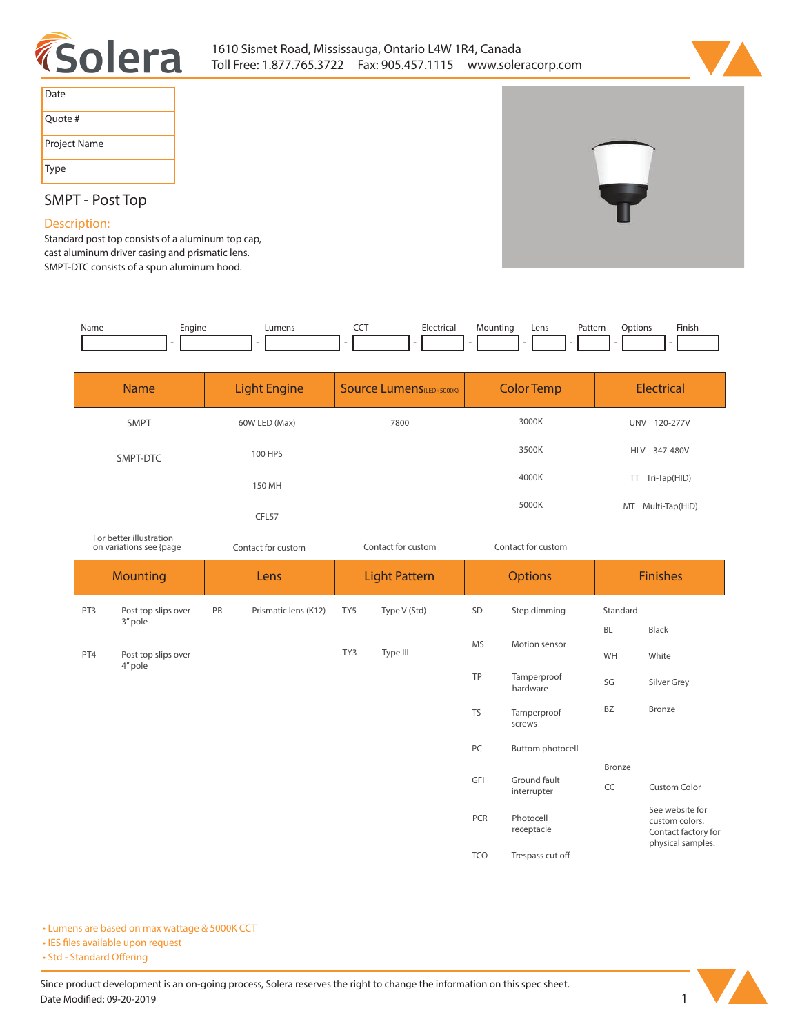



| Date         |
|--------------|
| Ouote #      |
| Project Name |
| Type         |

## **SMPT - Post Top**

## **Description:**

**Standard post top consists of a aluminum top cap, cast aluminum driver casing and prismatic lens. SMPT-DTC consists of a spun aluminum hood.** 

*For better illustration* 

| Name | -naine | umens. | --- | Electrical | Mounting | Lens | Patterr<br>. | Jotions | Finish |
|------|--------|--------|-----|------------|----------|------|--------------|---------|--------|
|      |        |        |     |            |          |      |              |         |        |

| <b>Name</b> | <b>Light Engine</b> | <b>Source Lumens</b> (LED)(5000K) | <b>Color Temp</b> | <b>Electrical</b>      |  |
|-------------|---------------------|-----------------------------------|-------------------|------------------------|--|
| <b>SMPT</b> | 60W LED (Max)       | 3000K<br>7800                     |                   | 120-277V<br><b>UNV</b> |  |
| SMPT-DTC    | 100 HPS             |                                   | 3500K             | HLV 347-480V           |  |
|             | 150 MH              |                                   | 4000K             | TT Tri-Tap(HID)        |  |
|             | CFL57               |                                   | 5000K             | MT Multi-Tap(HID)      |  |

| on variations see {page |                                | Contact for custom |                      | Contact for custom   |              | Contact for custom |                             |                 |                                                                               |
|-------------------------|--------------------------------|--------------------|----------------------|----------------------|--------------|--------------------|-----------------------------|-----------------|-------------------------------------------------------------------------------|
| <b>Mounting</b>         |                                | Lens               |                      | <b>Light Pattern</b> |              | <b>Options</b>     |                             | <b>Finishes</b> |                                                                               |
| PT3                     | Post top slips over            | PR                 | Prismatic lens (K12) | TY5                  | Type V (Std) | SD                 | Step dimming                | Standard        |                                                                               |
|                         | 3" pole                        |                    |                      |                      |              |                    |                             | <b>BL</b>       | Black                                                                         |
| PT4                     | Post top slips over<br>4" pole |                    |                      | TY3                  | Type III     | <b>MS</b>          | Motion sensor               | WH              | White                                                                         |
|                         |                                |                    |                      |                      |              | TP                 | Tamperproof<br>hardware     | SG              | Silver Grey                                                                   |
|                         |                                |                    |                      |                      |              | <b>TS</b>          | Tamperproof<br>screws       | BZ              | Bronze                                                                        |
|                         |                                |                    |                      |                      |              | PC                 | Buttom photocell            |                 |                                                                               |
|                         |                                |                    |                      |                      |              |                    |                             | Bronze          |                                                                               |
|                         |                                |                    |                      |                      |              | GFI                | Ground fault<br>interrupter | CC              | Custom Color                                                                  |
|                         |                                |                    |                      |                      |              | PCR                | Photocell<br>receptacle     |                 | See website for<br>custom colors.<br>Contact factory for<br>physical samples. |
|                         |                                |                    |                      |                      |              | <b>TCO</b>         | Trespass cut off            |                 |                                                                               |

**• Lumens are based on max wattage & 5000K CCT**

**• IES files available upon request** 

• Std - Standard Offering

Since product development is an on-going process, Solera reserves the right to change the information on this spec sheet. **Date Modified: 09-20-2019** 1